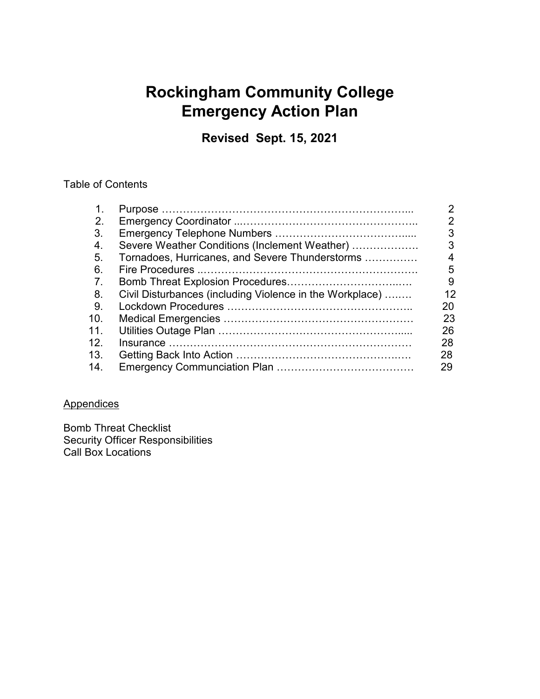## **Rockingham Community College Emergency Action Plan**

**Revised Sept. 15, 2021**

### Table of Contents

| 1.  |                                                          | 2  |
|-----|----------------------------------------------------------|----|
| 2.  |                                                          | 2  |
| 3.  |                                                          | 3  |
| 4.  | Severe Weather Conditions (Inclement Weather)            | 3  |
| 5.  | Tornadoes, Hurricanes, and Severe Thunderstorms          | 4  |
| 6.  |                                                          | 5  |
| 7.  |                                                          | 9  |
| 8.  | Civil Disturbances (including Violence in the Workplace) | 12 |
| -9. |                                                          | 20 |
| 10. |                                                          | 23 |
| 11. |                                                          | 26 |
| 12. |                                                          | 28 |
| 13. |                                                          | 28 |
| 14. |                                                          | 29 |

### **Appendices**

Bomb Threat Checklist Security Officer Responsibilities Call Box Locations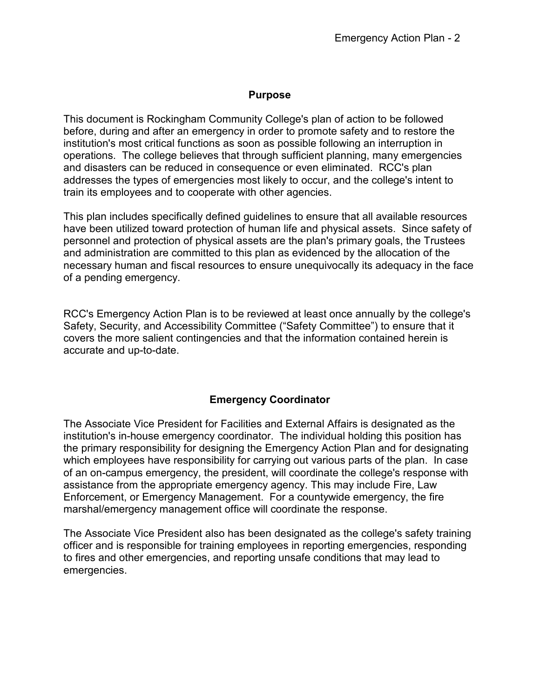### **Purpose**

This document is Rockingham Community College's plan of action to be followed before, during and after an emergency in order to promote safety and to restore the institution's most critical functions as soon as possible following an interruption in operations. The college believes that through sufficient planning, many emergencies and disasters can be reduced in consequence or even eliminated. RCC's plan addresses the types of emergencies most likely to occur, and the college's intent to train its employees and to cooperate with other agencies.

This plan includes specifically defined guidelines to ensure that all available resources have been utilized toward protection of human life and physical assets. Since safety of personnel and protection of physical assets are the plan's primary goals, the Trustees and administration are committed to this plan as evidenced by the allocation of the necessary human and fiscal resources to ensure unequivocally its adequacy in the face of a pending emergency.

RCC's Emergency Action Plan is to be reviewed at least once annually by the college's Safety, Security, and Accessibility Committee ("Safety Committee") to ensure that it covers the more salient contingencies and that the information contained herein is accurate and up-to-date.

### **Emergency Coordinator**

The Associate Vice President for Facilities and External Affairs is designated as the institution's in-house emergency coordinator. The individual holding this position has the primary responsibility for designing the Emergency Action Plan and for designating which employees have responsibility for carrying out various parts of the plan. In case of an on-campus emergency, the president, will coordinate the college's response with assistance from the appropriate emergency agency. This may include Fire, Law Enforcement, or Emergency Management. For a countywide emergency, the fire marshal/emergency management office will coordinate the response.

The Associate Vice President also has been designated as the college's safety training officer and is responsible for training employees in reporting emergencies, responding to fires and other emergencies, and reporting unsafe conditions that may lead to emergencies.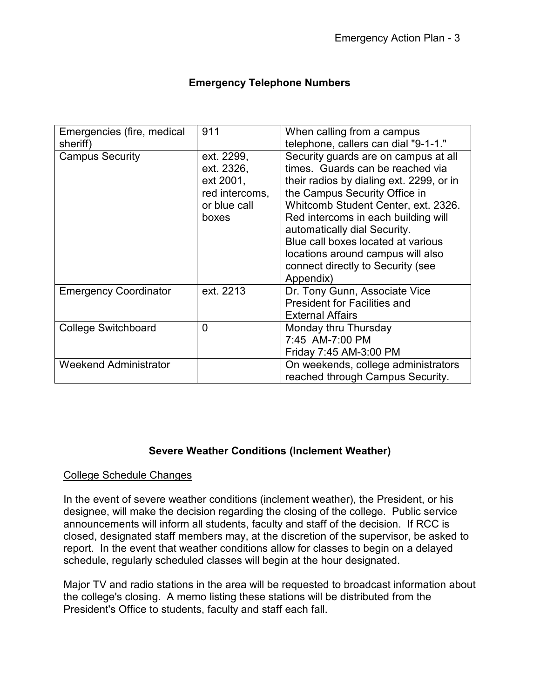| <b>Emergency Telephone Numbers</b> |  |  |
|------------------------------------|--|--|
|------------------------------------|--|--|

| Emergencies (fire, medical<br>sheriff) | 911                                                                              | When calling from a campus<br>telephone, callers can dial "9-1-1."                                                                                                                                                                                                                                                                                                                               |
|----------------------------------------|----------------------------------------------------------------------------------|--------------------------------------------------------------------------------------------------------------------------------------------------------------------------------------------------------------------------------------------------------------------------------------------------------------------------------------------------------------------------------------------------|
| <b>Campus Security</b>                 | ext. 2299,<br>ext. 2326,<br>ext 2001,<br>red intercoms,<br>or blue call<br>boxes | Security guards are on campus at all<br>times. Guards can be reached via<br>their radios by dialing ext. 2299, or in<br>the Campus Security Office in<br>Whitcomb Student Center, ext. 2326.<br>Red intercoms in each building will<br>automatically dial Security.<br>Blue call boxes located at various<br>locations around campus will also<br>connect directly to Security (see<br>Appendix) |
| <b>Emergency Coordinator</b>           | ext. 2213                                                                        | Dr. Tony Gunn, Associate Vice<br><b>President for Facilities and</b><br><b>External Affairs</b>                                                                                                                                                                                                                                                                                                  |
| <b>College Switchboard</b>             | 0                                                                                | Monday thru Thursday<br>7:45 AM-7:00 PM<br>Friday 7:45 AM-3:00 PM                                                                                                                                                                                                                                                                                                                                |
| <b>Weekend Administrator</b>           |                                                                                  | On weekends, college administrators<br>reached through Campus Security.                                                                                                                                                                                                                                                                                                                          |

### **Severe Weather Conditions (Inclement Weather)**

### College Schedule Changes

In the event of severe weather conditions (inclement weather), the President, or his designee, will make the decision regarding the closing of the college. Public service announcements will inform all students, faculty and staff of the decision. If RCC is closed, designated staff members may, at the discretion of the supervisor, be asked to report. In the event that weather conditions allow for classes to begin on a delayed schedule, regularly scheduled classes will begin at the hour designated.

Major TV and radio stations in the area will be requested to broadcast information about the college's closing. A memo listing these stations will be distributed from the President's Office to students, faculty and staff each fall.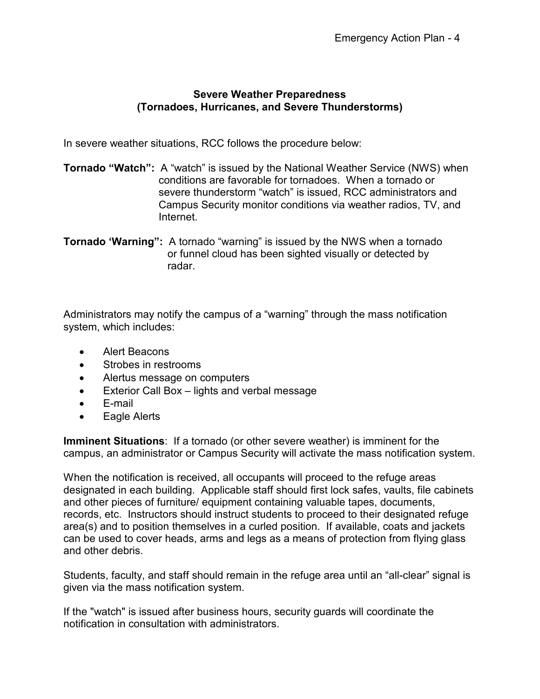### **Severe Weather Preparedness (Tornadoes, Hurricanes, and Severe Thunderstorms)**

In severe weather situations, RCC follows the procedure below:

**Tornado "Watch":** A "watch" is issued by the National Weather Service (NWS) when conditions are favorable for tornadoes. When a tornado or severe thunderstorm "watch" is issued, RCC administrators and Campus Security monitor conditions via weather radios, TV, and Internet.

**Tornado 'Warning":** A tornado "warning" is issued by the NWS when a tornado or funnel cloud has been sighted visually or detected by radar.

Administrators may notify the campus of a "warning" through the mass notification system, which includes:

- Alert Beacons
- Strobes in restrooms
- Alertus message on computers
- Exterior Call Box lights and verbal message
- E-mail
- Eagle Alerts

**Imminent Situations**: If a tornado (or other severe weather) is imminent for the campus, an administrator or Campus Security will activate the mass notification system.

When the notification is received, all occupants will proceed to the refuge areas designated in each building. Applicable staff should first lock safes, vaults, file cabinets and other pieces of furniture/ equipment containing valuable tapes, documents, records, etc. Instructors should instruct students to proceed to their designated refuge area(s) and to position themselves in a curled position. If available, coats and jackets can be used to cover heads, arms and legs as a means of protection from flying glass and other debris.

Students, faculty, and staff should remain in the refuge area until an "all-clear" signal is given via the mass notification system.

If the "watch" is issued after business hours, security guards will coordinate the notification in consultation with administrators.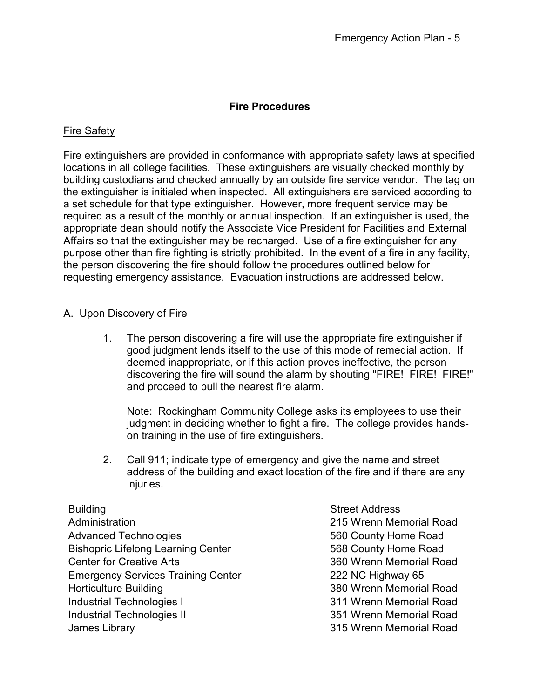### **Fire Procedures**

### Fire Safety

Fire extinguishers are provided in conformance with appropriate safety laws at specified locations in all college facilities. These extinguishers are visually checked monthly by building custodians and checked annually by an outside fire service vendor. The tag on the extinguisher is initialed when inspected. All extinguishers are serviced according to a set schedule for that type extinguisher. However, more frequent service may be required as a result of the monthly or annual inspection. If an extinguisher is used, the appropriate dean should notify the Associate Vice President for Facilities and External Affairs so that the extinguisher may be recharged. Use of a fire extinguisher for any purpose other than fire fighting is strictly prohibited. In the event of a fire in any facility, the person discovering the fire should follow the procedures outlined below for requesting emergency assistance. Evacuation instructions are addressed below.

### A. Upon Discovery of Fire

1. The person discovering a fire will use the appropriate fire extinguisher if good judgment lends itself to the use of this mode of remedial action. If deemed inappropriate, or if this action proves ineffective, the person discovering the fire will sound the alarm by shouting "FIRE! FIRE! FIRE!" and proceed to pull the nearest fire alarm.

Note: Rockingham Community College asks its employees to use their judgment in deciding whether to fight a fire. The college provides handson training in the use of fire extinguishers.

2. Call 911; indicate type of emergency and give the name and street address of the building and exact location of the fire and if there are any injuries.

Administration 215 Wrenn Memorial Road Advanced Technologies **660** County Home Road Bishopric Lifelong Learning Center 568 County Home Road Center for Creative Arts 360 Wrenn Memorial Road Emergency Services Training Center 222 NC Highway 65 Horticulture Building 380 Wrenn Memorial Road Industrial Technologies I 311 Wrenn Memorial Road Industrial Technologies II and a state of 351 Wrenn Memorial Road James Library 315 Wrenn Memorial Road

Building **Street Address**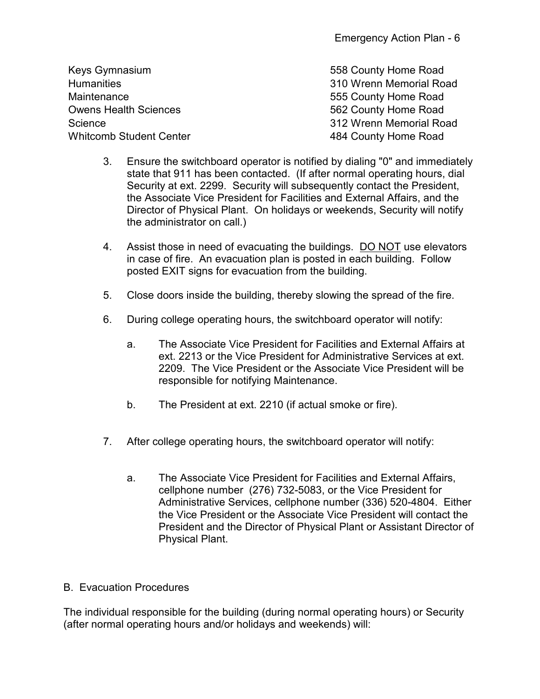| 558 County Home Road    |
|-------------------------|
| 310 Wrenn Memorial Road |
| 555 County Home Road    |
| 562 County Home Road    |
| 312 Wrenn Memorial Road |
| 484 County Home Road    |
|                         |

- 3. Ensure the switchboard operator is notified by dialing "0" and immediately state that 911 has been contacted. (If after normal operating hours, dial Security at ext. 2299. Security will subsequently contact the President, the Associate Vice President for Facilities and External Affairs, and the Director of Physical Plant. On holidays or weekends, Security will notify the administrator on call.)
- 4. Assist those in need of evacuating the buildings. DO NOT use elevators in case of fire. An evacuation plan is posted in each building. Follow posted EXIT signs for evacuation from the building.
- 5. Close doors inside the building, thereby slowing the spread of the fire.
- 6. During college operating hours, the switchboard operator will notify:
	- a. The Associate Vice President for Facilities and External Affairs at ext. 2213 or the Vice President for Administrative Services at ext. 2209. The Vice President or the Associate Vice President will be responsible for notifying Maintenance.
	- b. The President at ext. 2210 (if actual smoke or fire).
- 7. After college operating hours, the switchboard operator will notify:
	- a. The Associate Vice President for Facilities and External Affairs, cellphone number (276) 732-5083, or the Vice President for Administrative Services, cellphone number (336) 520-4804. Either the Vice President or the Associate Vice President will contact the President and the Director of Physical Plant or Assistant Director of Physical Plant.

### B. Evacuation Procedures

The individual responsible for the building (during normal operating hours) or Security (after normal operating hours and/or holidays and weekends) will: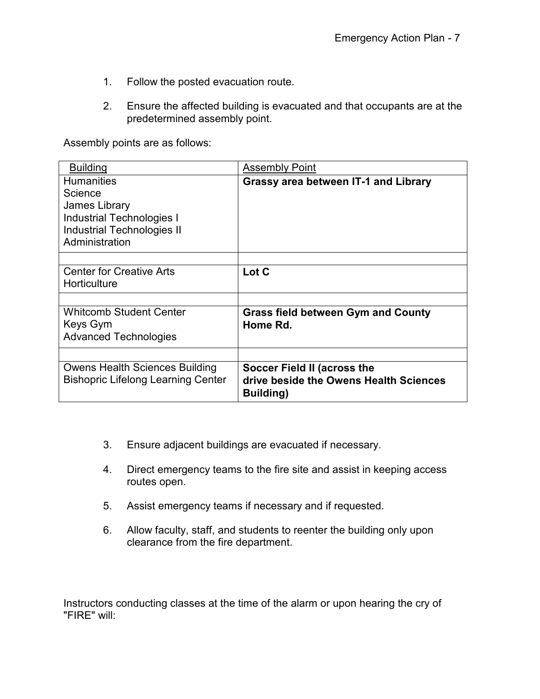- 1. Follow the posted evacuation route.
- 2. Ensure the affected building is evacuated and that occupants are at the predetermined assembly point.

Assembly points are as follows:

| <b>Building</b>                                                                                                        | <b>Assembly Point</b>                                                                      |  |
|------------------------------------------------------------------------------------------------------------------------|--------------------------------------------------------------------------------------------|--|
| <b>Humanities</b><br>Science<br>James Library<br><b>Industrial Technologies I</b><br><b>Industrial Technologies II</b> | <b>Grassy area between IT-1 and Library</b>                                                |  |
| Administration                                                                                                         |                                                                                            |  |
| <b>Center for Creative Arts</b><br>Horticulture                                                                        | Lot C                                                                                      |  |
| <b>Whitcomb Student Center</b><br>Keys Gym<br><b>Advanced Technologies</b>                                             | <b>Grass field between Gym and County</b><br>Home Rd.                                      |  |
| <b>Owens Health Sciences Building</b><br><b>Bishopric Lifelong Learning Center</b>                                     | Soccer Field II (across the<br>drive beside the Owens Health Sciences<br><b>Building</b> ) |  |

- 3. Ensure adjacent buildings are evacuated if necessary.
- 4. Direct emergency teams to the fire site and assist in keeping access routes open.
- 5. Assist emergency teams if necessary and if requested.
- 6. Allow faculty, staff, and students to reenter the building only upon clearance from the fire department.

Instructors conducting classes at the time of the alarm or upon hearing the cry of "FIRE" will: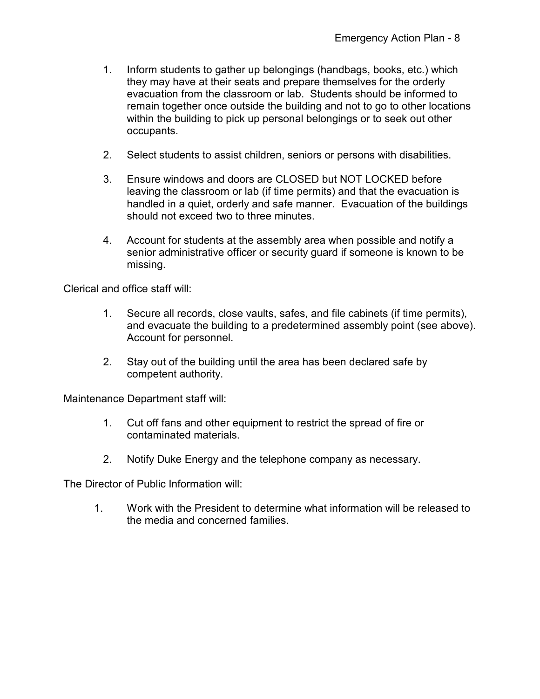- 1. Inform students to gather up belongings (handbags, books, etc.) which they may have at their seats and prepare themselves for the orderly evacuation from the classroom or lab. Students should be informed to remain together once outside the building and not to go to other locations within the building to pick up personal belongings or to seek out other occupants.
- 2. Select students to assist children, seniors or persons with disabilities.
- 3. Ensure windows and doors are CLOSED but NOT LOCKED before leaving the classroom or lab (if time permits) and that the evacuation is handled in a quiet, orderly and safe manner. Evacuation of the buildings should not exceed two to three minutes.
- 4. Account for students at the assembly area when possible and notify a senior administrative officer or security guard if someone is known to be missing.

Clerical and office staff will:

- 1. Secure all records, close vaults, safes, and file cabinets (if time permits), and evacuate the building to a predetermined assembly point (see above). Account for personnel.
- 2. Stay out of the building until the area has been declared safe by competent authority.

Maintenance Department staff will:

- 1. Cut off fans and other equipment to restrict the spread of fire or contaminated materials.
- 2. Notify Duke Energy and the telephone company as necessary.

The Director of Public Information will:

1. Work with the President to determine what information will be released to the media and concerned families.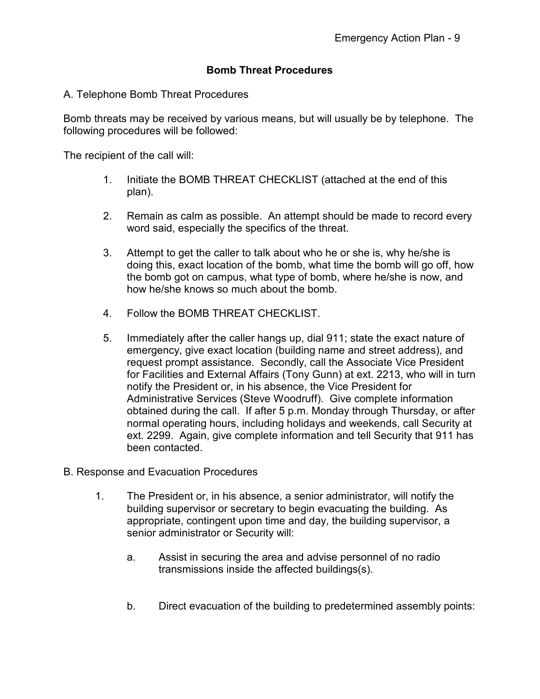### **Bomb Threat Procedures**

### A. Telephone Bomb Threat Procedures

Bomb threats may be received by various means, but will usually be by telephone. The following procedures will be followed:

The recipient of the call will:

- 1. Initiate the BOMB THREAT CHECKLIST (attached at the end of this plan).
- 2. Remain as calm as possible. An attempt should be made to record every word said, especially the specifics of the threat.
- 3. Attempt to get the caller to talk about who he or she is, why he/she is doing this, exact location of the bomb, what time the bomb will go off, how the bomb got on campus, what type of bomb, where he/she is now, and how he/she knows so much about the bomb.
- 4 Follow the BOMB THREAT CHECKLIST
- 5. Immediately after the caller hangs up, dial 911; state the exact nature of emergency, give exact location (building name and street address), and request prompt assistance. Secondly, call the Associate Vice President for Facilities and External Affairs (Tony Gunn) at ext. 2213, who will in turn notify the President or, in his absence, the Vice President for Administrative Services (Steve Woodruff). Give complete information obtained during the call. If after 5 p.m. Monday through Thursday, or after normal operating hours, including holidays and weekends, call Security at ext. 2299. Again, give complete information and tell Security that 911 has been contacted.
- B. Response and Evacuation Procedures
	- 1. The President or, in his absence, a senior administrator, will notify the building supervisor or secretary to begin evacuating the building. As appropriate, contingent upon time and day, the building supervisor, a senior administrator or Security will:
		- a. Assist in securing the area and advise personnel of no radio transmissions inside the affected buildings(s).
		- b. Direct evacuation of the building to predetermined assembly points: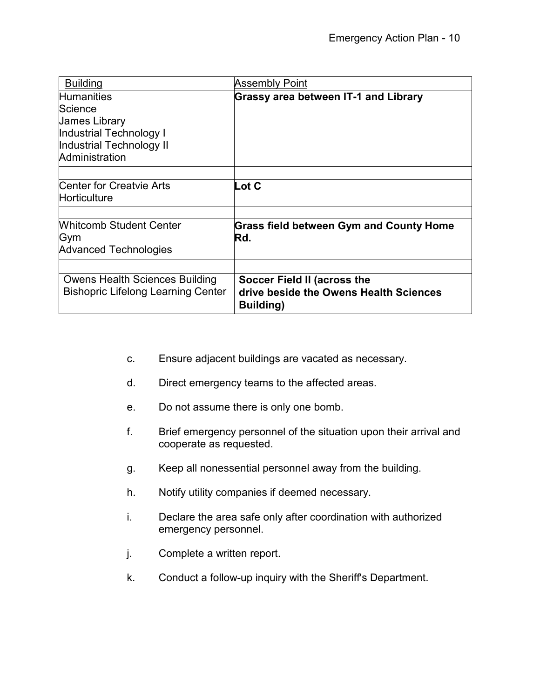| <b>Building</b>                           | Assembly Point                                      |  |
|-------------------------------------------|-----------------------------------------------------|--|
| <b>Humanities</b>                         | <b>Grassy area between IT-1 and Library</b>         |  |
| Science                                   |                                                     |  |
| <b>James Library</b>                      |                                                     |  |
| Industrial Technology I                   |                                                     |  |
| Industrial Technology II                  |                                                     |  |
| Administration                            |                                                     |  |
|                                           |                                                     |  |
| <b>Center for Creatvie Arts</b>           | Lot C                                               |  |
| Horticulture                              |                                                     |  |
|                                           |                                                     |  |
| <b>Whitcomb Student Center</b>            | <b>Grass field between Gym and County Home</b>      |  |
| Gym                                       | Rd.                                                 |  |
| <b>Advanced Technologies</b>              |                                                     |  |
|                                           |                                                     |  |
| <b>Owens Health Sciences Building</b>     | Soccer Field II (across the                         |  |
| <b>Bishopric Lifelong Learning Center</b> | drive beside the Owens Health Sciences<br>Building) |  |
|                                           |                                                     |  |

- c. Ensure adjacent buildings are vacated as necessary.
- d. Direct emergency teams to the affected areas.
- e. Do not assume there is only one bomb.
- f. Brief emergency personnel of the situation upon their arrival and cooperate as requested.
- g. Keep all nonessential personnel away from the building.
- h. Notify utility companies if deemed necessary.
- i. Declare the area safe only after coordination with authorized emergency personnel.
- j. Complete a written report.
- k. Conduct a follow-up inquiry with the Sheriff's Department.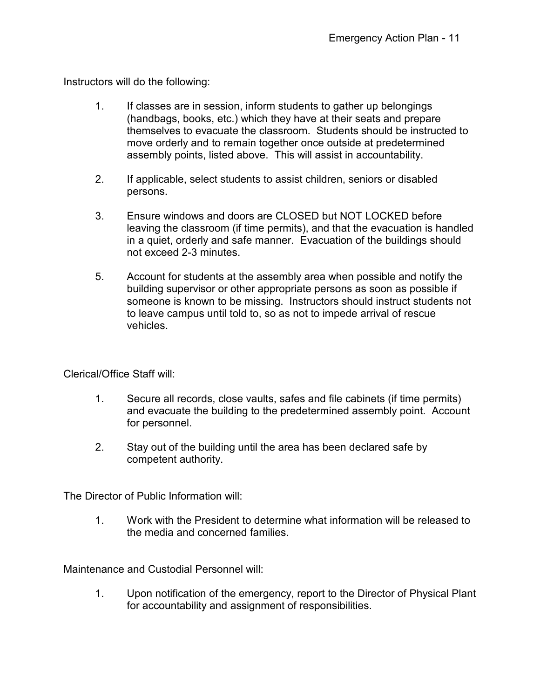Instructors will do the following:

- 1. If classes are in session, inform students to gather up belongings (handbags, books, etc.) which they have at their seats and prepare themselves to evacuate the classroom. Students should be instructed to move orderly and to remain together once outside at predetermined assembly points, listed above. This will assist in accountability.
- 2. If applicable, select students to assist children, seniors or disabled persons.
- 3. Ensure windows and doors are CLOSED but NOT LOCKED before leaving the classroom (if time permits), and that the evacuation is handled in a quiet, orderly and safe manner. Evacuation of the buildings should not exceed 2-3 minutes.
- 5. Account for students at the assembly area when possible and notify the building supervisor or other appropriate persons as soon as possible if someone is known to be missing. Instructors should instruct students not to leave campus until told to, so as not to impede arrival of rescue vehicles.

Clerical/Office Staff will:

- 1. Secure all records, close vaults, safes and file cabinets (if time permits) and evacuate the building to the predetermined assembly point. Account for personnel.
- 2. Stay out of the building until the area has been declared safe by competent authority.

The Director of Public Information will:

1. Work with the President to determine what information will be released to the media and concerned families.

Maintenance and Custodial Personnel will:

1. Upon notification of the emergency, report to the Director of Physical Plant for accountability and assignment of responsibilities.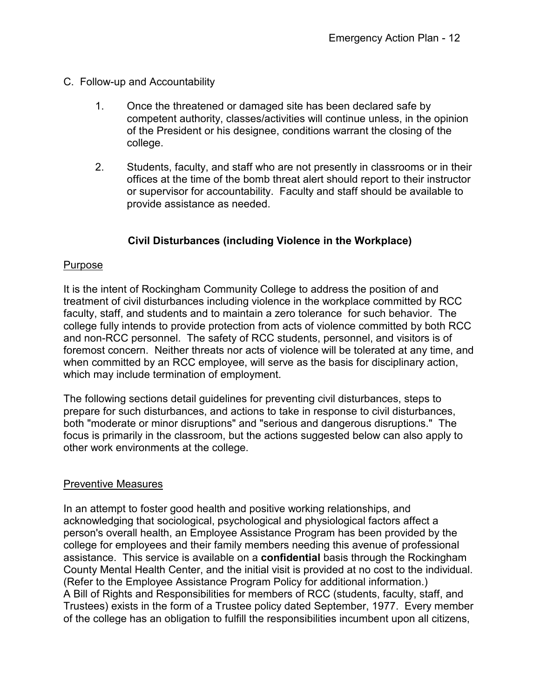- C. Follow-up and Accountability
	- 1. Once the threatened or damaged site has been declared safe by competent authority, classes/activities will continue unless, in the opinion of the President or his designee, conditions warrant the closing of the college.
	- 2. Students, faculty, and staff who are not presently in classrooms or in their offices at the time of the bomb threat alert should report to their instructor or supervisor for accountability. Faculty and staff should be available to provide assistance as needed.

### **Civil Disturbances (including Violence in the Workplace)**

### Purpose

It is the intent of Rockingham Community College to address the position of and treatment of civil disturbances including violence in the workplace committed by RCC faculty, staff, and students and to maintain a zero tolerance for such behavior. The college fully intends to provide protection from acts of violence committed by both RCC and non-RCC personnel. The safety of RCC students, personnel, and visitors is of foremost concern. Neither threats nor acts of violence will be tolerated at any time, and when committed by an RCC employee, will serve as the basis for disciplinary action, which may include termination of employment.

The following sections detail guidelines for preventing civil disturbances, steps to prepare for such disturbances, and actions to take in response to civil disturbances, both "moderate or minor disruptions" and "serious and dangerous disruptions." The focus is primarily in the classroom, but the actions suggested below can also apply to other work environments at the college.

### Preventive Measures

In an attempt to foster good health and positive working relationships, and acknowledging that sociological, psychological and physiological factors affect a person's overall health, an Employee Assistance Program has been provided by the college for employees and their family members needing this avenue of professional assistance. This service is available on a **confidential** basis through the Rockingham County Mental Health Center, and the initial visit is provided at no cost to the individual. (Refer to the Employee Assistance Program Policy for additional information.) A Bill of Rights and Responsibilities for members of RCC (students, faculty, staff, and Trustees) exists in the form of a Trustee policy dated September, 1977. Every member of the college has an obligation to fulfill the responsibilities incumbent upon all citizens,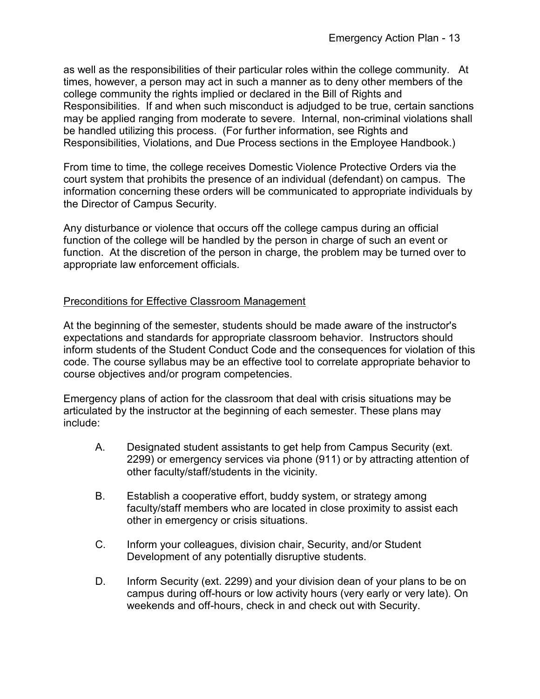as well as the responsibilities of their particular roles within the college community. At times, however, a person may act in such a manner as to deny other members of the college community the rights implied or declared in the Bill of Rights and Responsibilities. If and when such misconduct is adjudged to be true, certain sanctions may be applied ranging from moderate to severe. Internal, non-criminal violations shall be handled utilizing this process. (For further information, see Rights and Responsibilities, Violations, and Due Process sections in the Employee Handbook.)

From time to time, the college receives Domestic Violence Protective Orders via the court system that prohibits the presence of an individual (defendant) on campus. The information concerning these orders will be communicated to appropriate individuals by the Director of Campus Security.

Any disturbance or violence that occurs off the college campus during an official function of the college will be handled by the person in charge of such an event or function. At the discretion of the person in charge, the problem may be turned over to appropriate law enforcement officials.

### Preconditions for Effective Classroom Management

At the beginning of the semester, students should be made aware of the instructor's expectations and standards for appropriate classroom behavior. Instructors should inform students of the Student Conduct Code and the consequences for violation of this code. The course syllabus may be an effective tool to correlate appropriate behavior to course objectives and/or program competencies.

Emergency plans of action for the classroom that deal with crisis situations may be articulated by the instructor at the beginning of each semester. These plans may include:

- A. Designated student assistants to get help from Campus Security (ext. 2299) or emergency services via phone (911) or by attracting attention of other faculty/staff/students in the vicinity.
- B. Establish a cooperative effort, buddy system, or strategy among faculty/staff members who are located in close proximity to assist each other in emergency or crisis situations.
- C. Inform your colleagues, division chair, Security, and/or Student Development of any potentially disruptive students.
- D. Inform Security (ext. 2299) and your division dean of your plans to be on campus during off-hours or low activity hours (very early or very late). On weekends and off-hours, check in and check out with Security.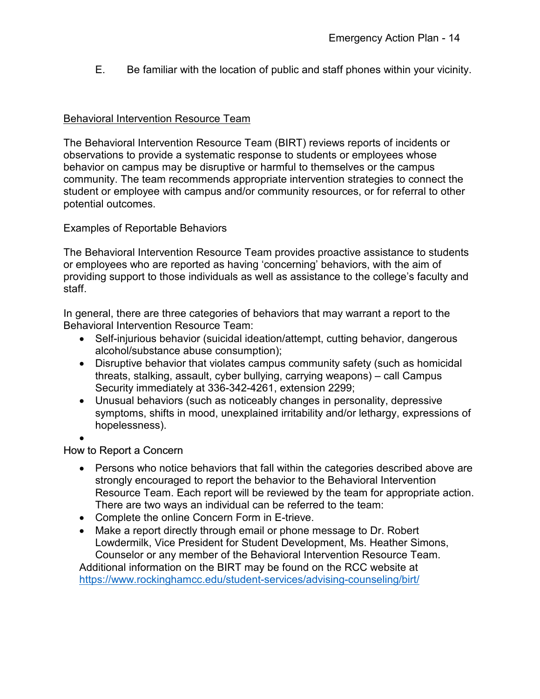E. Be familiar with the location of public and staff phones within your vicinity.

### Behavioral Intervention Resource Team

The Behavioral Intervention Resource Team (BIRT) reviews reports of incidents or observations to provide a systematic response to students or employees whose behavior on campus may be disruptive or harmful to themselves or the campus community. The team recommends appropriate intervention strategies to connect the student or employee with campus and/or community resources, or for referral to other potential outcomes.

Examples of Reportable Behaviors

The Behavioral Intervention Resource Team provides proactive assistance to students or employees who are reported as having 'concerning' behaviors, with the aim of providing support to those individuals as well as assistance to the college's faculty and staff.

In general, there are three categories of behaviors that may warrant a report to the Behavioral Intervention Resource Team:

- Self-injurious behavior (suicidal ideation/attempt, cutting behavior, dangerous alcohol/substance abuse consumption);
- Disruptive behavior that violates campus community safety (such as homicidal threats, stalking, assault, cyber bullying, carrying weapons) – call Campus Security immediately at 336-342-4261, extension 2299;
- Unusual behaviors (such as noticeably changes in personality, depressive symptoms, shifts in mood, unexplained irritability and/or lethargy, expressions of hopelessness).
- •

### How to Report a Concern

- Persons who notice behaviors that fall within the categories described above are strongly encouraged to report the behavior to the Behavioral Intervention Resource Team. Each report will be reviewed by the team for appropriate action. There are two ways an individual can be referred to the team:
- Complete the online Concern Form in E-trieve.
- Make a report directly through email or phone message to Dr. Robert Lowdermilk, Vice President for Student Development, Ms. Heather Simons, Counselor or any member of the Behavioral Intervention Resource Team.

Additional information on the BIRT may be found on the RCC website at <https://www.rockinghamcc.edu/student-services/advising-counseling/birt/>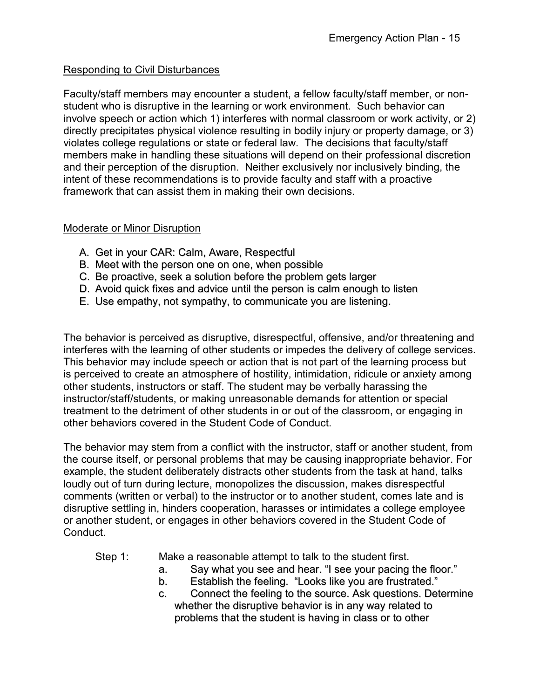### Responding to Civil Disturbances

Faculty/staff members may encounter a student, a fellow faculty/staff member, or nonstudent who is disruptive in the learning or work environment. Such behavior can involve speech or action which 1) interferes with normal classroom or work activity, or 2) directly precipitates physical violence resulting in bodily injury or property damage, or 3) violates college regulations or state or federal law. The decisions that faculty/staff members make in handling these situations will depend on their professional discretion and their perception of the disruption. Neither exclusively nor inclusively binding, the intent of these recommendations is to provide faculty and staff with a proactive framework that can assist them in making their own decisions.

### Moderate or Minor Disruption

- A. Get in your CAR: Calm, Aware, Respectful
- B. Meet with the person one on one, when possible
- C. Be proactive, seek a solution before the problem gets larger
- D. Avoid quick fixes and advice until the person is calm enough to listen
- E. Use empathy, not sympathy, to communicate you are listening.

The behavior is perceived as disruptive, disrespectful, offensive, and/or threatening and interferes with the learning of other students or impedes the delivery of college services. This behavior may include speech or action that is not part of the learning process but is perceived to create an atmosphere of hostility, intimidation, ridicule or anxiety among other students, instructors or staff. The student may be verbally harassing the instructor/staff/students, or making unreasonable demands for attention or special treatment to the detriment of other students in or out of the classroom, or engaging in other behaviors covered in the Student Code of Conduct.

The behavior may stem from a conflict with the instructor, staff or another student, from the course itself, or personal problems that may be causing inappropriate behavior. For example, the student deliberately distracts other students from the task at hand, talks loudly out of turn during lecture, monopolizes the discussion, makes disrespectful comments (written or verbal) to the instructor or to another student, comes late and is disruptive settling in, hinders cooperation, harasses or intimidates a college employee or another student, or engages in other behaviors covered in the Student Code of Conduct.

- Step 1: Make a reasonable attempt to talk to the student first.
	- a. Say what you see and hear. "I see your pacing the floor."
	- b. Establish the feeling. "Looks like you are frustrated."
	- c. Connect the feeling to the source. Ask questions. Determine whether the disruptive behavior is in any way related to problems that the student is having in class or to other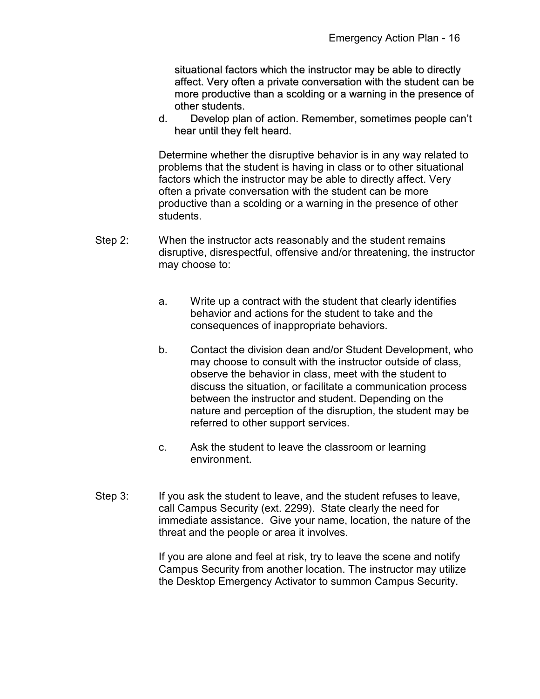situational factors which the instructor may be able to directly affect. Very often a private conversation with the student can be more productive than a scolding or a warning in the presence of other students.

d. Develop plan of action. Remember, sometimes people can't hear until they felt heard.

Determine whether the disruptive behavior is in any way related to problems that the student is having in class or to other situational factors which the instructor may be able to directly affect. Very often a private conversation with the student can be more productive than a scolding or a warning in the presence of other students.

- Step 2: When the instructor acts reasonably and the student remains disruptive, disrespectful, offensive and/or threatening, the instructor may choose to:
	- a. Write up a contract with the student that clearly identifies behavior and actions for the student to take and the consequences of inappropriate behaviors.
	- b. Contact the division dean and/or Student Development, who may choose to consult with the instructor outside of class, observe the behavior in class, meet with the student to discuss the situation, or facilitate a communication process between the instructor and student. Depending on the nature and perception of the disruption, the student may be referred to other support services.
	- c. Ask the student to leave the classroom or learning environment.
- Step 3: If you ask the student to leave, and the student refuses to leave, call Campus Security (ext. 2299). State clearly the need for immediate assistance. Give your name, location, the nature of the threat and the people or area it involves.

If you are alone and feel at risk, try to leave the scene and notify Campus Security from another location. The instructor may utilize the Desktop Emergency Activator to summon Campus Security.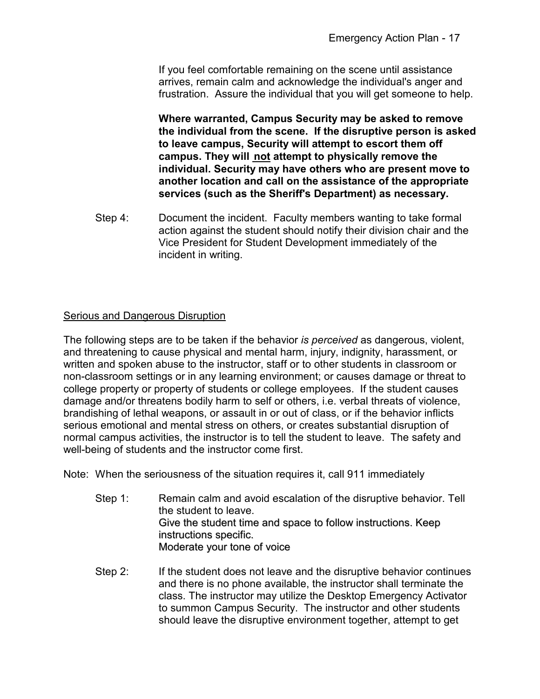If you feel comfortable remaining on the scene until assistance arrives, remain calm and acknowledge the individual's anger and frustration. Assure the individual that you will get someone to help.

**Where warranted, Campus Security may be asked to remove the individual from the scene. If the disruptive person is asked to leave campus, Security will attempt to escort them off campus. They will not attempt to physically remove the individual. Security may have others who are present move to another location and call on the assistance of the appropriate services (such as the Sheriff's Department) as necessary.**

Step 4: Document the incident. Faculty members wanting to take formal action against the student should notify their division chair and the Vice President for Student Development immediately of the incident in writing.

### Serious and Dangerous Disruption

The following steps are to be taken if the behavior *is perceived* as dangerous, violent, and threatening to cause physical and mental harm, injury, indignity, harassment, or written and spoken abuse to the instructor, staff or to other students in classroom or non-classroom settings or in any learning environment; or causes damage or threat to college property or property of students or college employees. If the student causes damage and/or threatens bodily harm to self or others, i.e. verbal threats of violence, brandishing of lethal weapons, or assault in or out of class, or if the behavior inflicts serious emotional and mental stress on others, or creates substantial disruption of normal campus activities, the instructor is to tell the student to leave. The safety and well-being of students and the instructor come first.

Note: When the seriousness of the situation requires it, call 911 immediately

- Step 1: Remain calm and avoid escalation of the disruptive behavior. Tell the student to leave. Give the student time and space to follow instructions. Keep instructions specific. Moderate your tone of voice
- Step 2: If the student does not leave and the disruptive behavior continues and there is no phone available, the instructor shall terminate the class. The instructor may utilize the Desktop Emergency Activator to summon Campus Security. The instructor and other students should leave the disruptive environment together, attempt to get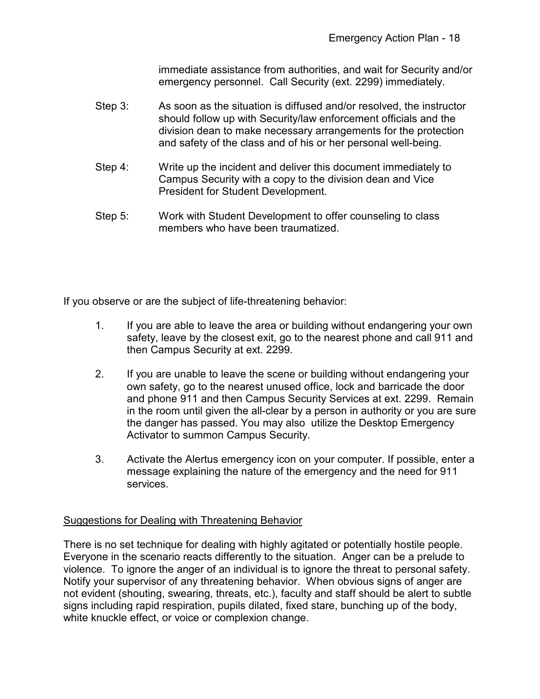immediate assistance from authorities, and wait for Security and/or emergency personnel. Call Security (ext. 2299) immediately.

- Step 3: As soon as the situation is diffused and/or resolved, the instructor should follow up with Security/law enforcement officials and the division dean to make necessary arrangements for the protection and safety of the class and of his or her personal well-being.
- Step 4: Write up the incident and deliver this document immediately to Campus Security with a copy to the division dean and Vice President for Student Development.
- Step 5: Work with Student Development to offer counseling to class members who have been traumatized.

If you observe or are the subject of life-threatening behavior:

- 1. If you are able to leave the area or building without endangering your own safety, leave by the closest exit, go to the nearest phone and call 911 and then Campus Security at ext. 2299.
- 2. If you are unable to leave the scene or building without endangering your own safety, go to the nearest unused office, lock and barricade the door and phone 911 and then Campus Security Services at ext. 2299. Remain in the room until given the all-clear by a person in authority or you are sure the danger has passed. You may also utilize the Desktop Emergency Activator to summon Campus Security.
- 3. Activate the Alertus emergency icon on your computer. If possible, enter a message explaining the nature of the emergency and the need for 911 services.

### Suggestions for Dealing with Threatening Behavior

There is no set technique for dealing with highly agitated or potentially hostile people. Everyone in the scenario reacts differently to the situation. Anger can be a prelude to violence. To ignore the anger of an individual is to ignore the threat to personal safety. Notify your supervisor of any threatening behavior. When obvious signs of anger are not evident (shouting, swearing, threats, etc.), faculty and staff should be alert to subtle signs including rapid respiration, pupils dilated, fixed stare, bunching up of the body, white knuckle effect, or voice or complexion change.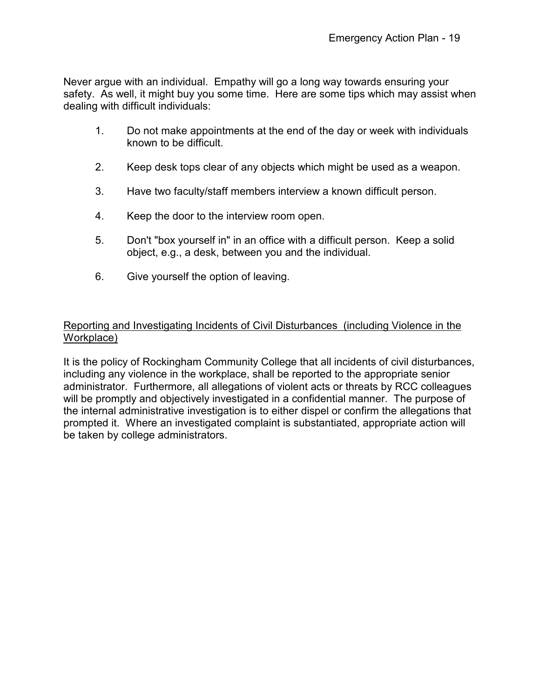Never argue with an individual. Empathy will go a long way towards ensuring your safety. As well, it might buy you some time. Here are some tips which may assist when dealing with difficult individuals:

- 1. Do not make appointments at the end of the day or week with individuals known to be difficult.
- 2. Keep desk tops clear of any objects which might be used as a weapon.
- 3. Have two faculty/staff members interview a known difficult person.
- 4. Keep the door to the interview room open.
- 5. Don't "box yourself in" in an office with a difficult person. Keep a solid object, e.g., a desk, between you and the individual.
- 6. Give yourself the option of leaving.

### Reporting and Investigating Incidents of Civil Disturbances (including Violence in the Workplace)

It is the policy of Rockingham Community College that all incidents of civil disturbances, including any violence in the workplace, shall be reported to the appropriate senior administrator. Furthermore, all allegations of violent acts or threats by RCC colleagues will be promptly and objectively investigated in a confidential manner. The purpose of the internal administrative investigation is to either dispel or confirm the allegations that prompted it. Where an investigated complaint is substantiated, appropriate action will be taken by college administrators.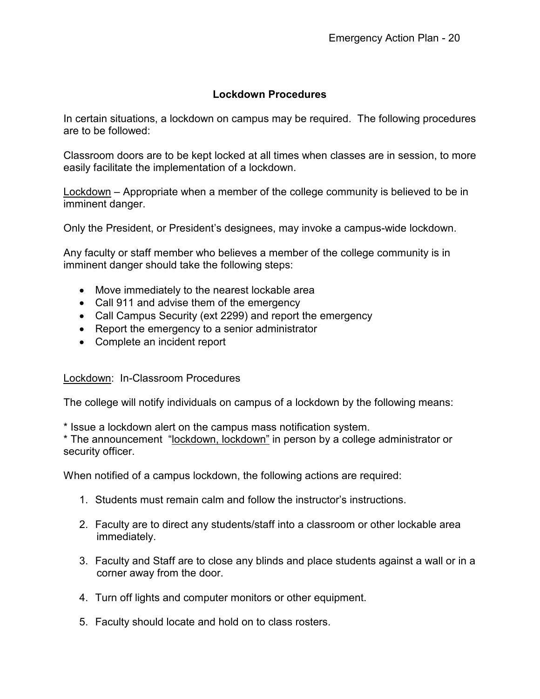### **Lockdown Procedures**

In certain situations, a lockdown on campus may be required. The following procedures are to be followed:

Classroom doors are to be kept locked at all times when classes are in session, to more easily facilitate the implementation of a lockdown.

Lockdown – Appropriate when a member of the college community is believed to be in imminent danger.

Only the President, or President's designees, may invoke a campus-wide lockdown.

Any faculty or staff member who believes a member of the college community is in imminent danger should take the following steps:

- Move immediately to the nearest lockable area
- Call 911 and advise them of the emergency
- Call Campus Security (ext 2299) and report the emergency
- Report the emergency to a senior administrator
- Complete an incident report

### Lockdown: In-Classroom Procedures

The college will notify individuals on campus of a lockdown by the following means:

\* Issue a lockdown alert on the campus mass notification system.

\* The announcement "lockdown, lockdown" in person by a college administrator or security officer.

When notified of a campus lockdown, the following actions are required:

- 1. Students must remain calm and follow the instructor's instructions.
- 2. Faculty are to direct any students/staff into a classroom or other lockable area immediately.
- 3. Faculty and Staff are to close any blinds and place students against a wall or in a corner away from the door.
- 4. Turn off lights and computer monitors or other equipment.
- 5. Faculty should locate and hold on to class rosters.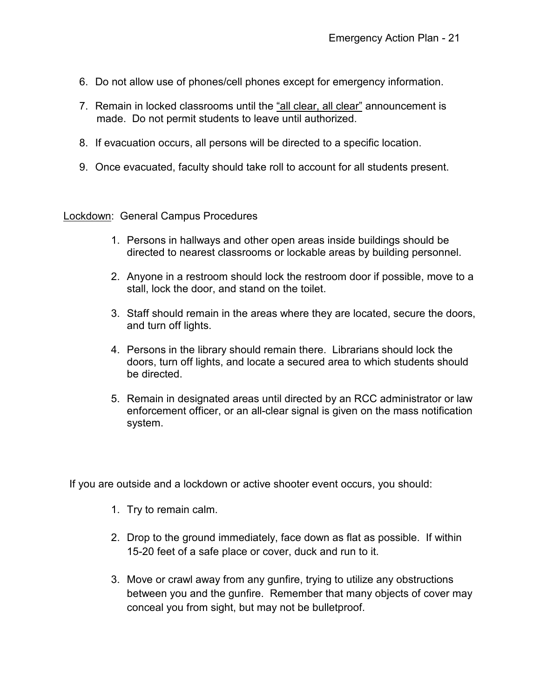- 6. Do not allow use of phones/cell phones except for emergency information.
- 7. Remain in locked classrooms until the <u>"all clear, all clear"</u> announcement is made. Do not permit students to leave until authorized.
- 8. If evacuation occurs, all persons will be directed to a specific location.
- 9. Once evacuated, faculty should take roll to account for all students present.

Lockdown: General Campus Procedures

- 1. Persons in hallways and other open areas inside buildings should be directed to nearest classrooms or lockable areas by building personnel.
- 2. Anyone in a restroom should lock the restroom door if possible, move to a stall, lock the door, and stand on the toilet.
- 3. Staff should remain in the areas where they are located, secure the doors, and turn off lights.
- 4. Persons in the library should remain there. Librarians should lock the doors, turn off lights, and locate a secured area to which students should be directed.
- 5. Remain in designated areas until directed by an RCC administrator or law enforcement officer, or an all-clear signal is given on the mass notification system.

If you are outside and a lockdown or active shooter event occurs, you should:

- 1. Try to remain calm.
- 2. Drop to the ground immediately, face down as flat as possible. If within 15-20 feet of a safe place or cover, duck and run to it.
- 3. Move or crawl away from any gunfire, trying to utilize any obstructions between you and the gunfire. Remember that many objects of cover may conceal you from sight, but may not be bulletproof.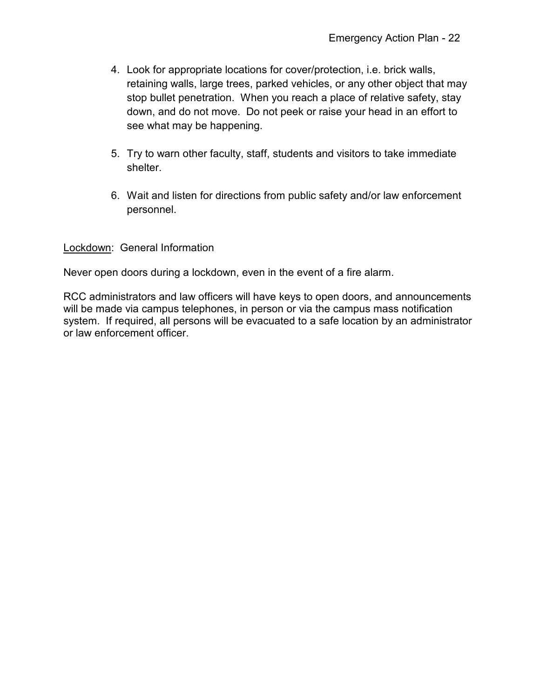- 4. Look for appropriate locations for cover/protection, i.e. brick walls, retaining walls, large trees, parked vehicles, or any other object that may stop bullet penetration. When you reach a place of relative safety, stay down, and do not move. Do not peek or raise your head in an effort to see what may be happening.
- 5. Try to warn other faculty, staff, students and visitors to take immediate shelter.
- 6. Wait and listen for directions from public safety and/or law enforcement personnel.

Lockdown: General Information

Never open doors during a lockdown, even in the event of a fire alarm.

RCC administrators and law officers will have keys to open doors, and announcements will be made via campus telephones, in person or via the campus mass notification system. If required, all persons will be evacuated to a safe location by an administrator or law enforcement officer.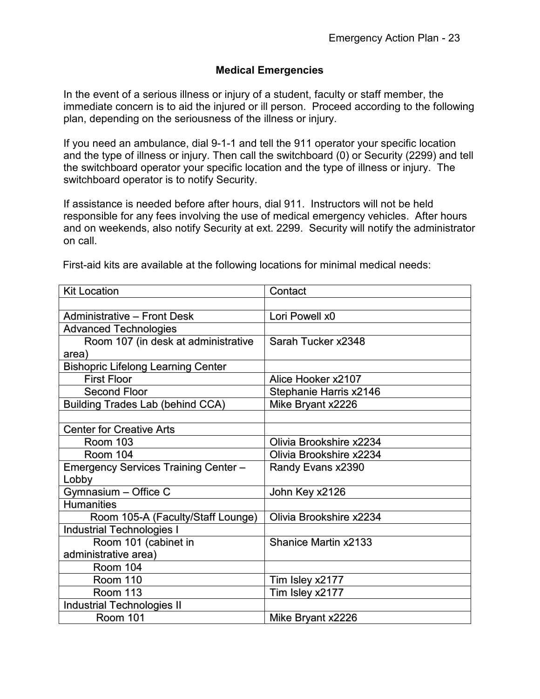### **Medical Emergencies**

In the event of a serious illness or injury of a student, faculty or staff member, the immediate concern is to aid the injured or ill person. Proceed according to the following plan, depending on the seriousness of the illness or injury.

If you need an ambulance, dial 9-1-1 and tell the 911 operator your specific location and the type of illness or injury. Then call the switchboard (0) or Security (2299) and tell the switchboard operator your specific location and the type of illness or injury. The switchboard operator is to notify Security.

If assistance is needed before after hours, dial 911. Instructors will not be held responsible for any fees involving the use of medical emergency vehicles. After hours and on weekends, also notify Security at ext. 2299. Security will notify the administrator on call.

| First-aid kits are available at the following locations for minimal medical needs: |  |  |  |
|------------------------------------------------------------------------------------|--|--|--|
|                                                                                    |  |  |  |

| <b>Kit Location</b>                         | Contact                 |  |
|---------------------------------------------|-------------------------|--|
|                                             |                         |  |
| <b>Administrative - Front Desk</b>          | Lori Powell x0          |  |
| <b>Advanced Technologies</b>                |                         |  |
| Room 107 (in desk at administrative         | Sarah Tucker x2348      |  |
| area)                                       |                         |  |
| <b>Bishopric Lifelong Learning Center</b>   |                         |  |
| <b>First Floor</b>                          | Alice Hooker x2107      |  |
| <b>Second Floor</b>                         | Stephanie Harris x2146  |  |
| <b>Building Trades Lab (behind CCA)</b>     | Mike Bryant x2226       |  |
|                                             |                         |  |
| <b>Center for Creative Arts</b>             |                         |  |
| <b>Room 103</b>                             | Olivia Brookshire x2234 |  |
| Room 104                                    | Olivia Brookshire x2234 |  |
| <b>Emergency Services Training Center -</b> | Randy Evans x2390       |  |
| Lobby                                       |                         |  |
| Gymnasium - Office C                        | John Key x2126          |  |
| <b>Humanities</b>                           |                         |  |
| Room 105-A (Faculty/Staff Lounge)           | Olivia Brookshire x2234 |  |
| <b>Industrial Technologies I</b>            |                         |  |
| Room 101 (cabinet in                        | Shanice Martin x2133    |  |
| administrative area)                        |                         |  |
| Room 104                                    |                         |  |
| Room 110                                    | Tim Isley x2177         |  |
| Room 113                                    | Tim Isley x2177         |  |
| <b>Industrial Technologies II</b>           |                         |  |
| <b>Room 101</b>                             | Mike Bryant x2226       |  |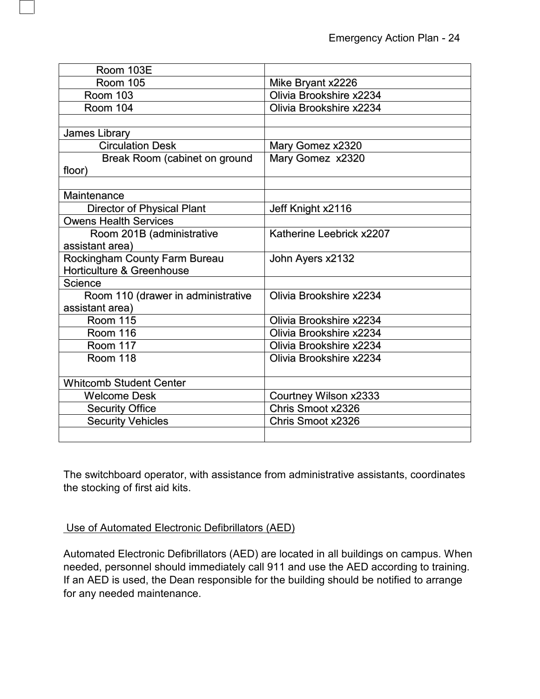| Room 103E                          |                          |  |
|------------------------------------|--------------------------|--|
| Room 105                           | Mike Bryant x2226        |  |
| <b>Room 103</b>                    | Olivia Brookshire x2234  |  |
| <b>Room 104</b>                    | Olivia Brookshire x2234  |  |
|                                    |                          |  |
| <b>James Library</b>               |                          |  |
| <b>Circulation Desk</b>            | Mary Gomez x2320         |  |
| Break Room (cabinet on ground      | Mary Gomez x2320         |  |
| floor)                             |                          |  |
|                                    |                          |  |
| Maintenance                        |                          |  |
| <b>Director of Physical Plant</b>  | Jeff Knight x2116        |  |
| <b>Owens Health Services</b>       |                          |  |
| Room 201B (administrative          | Katherine Leebrick x2207 |  |
| assistant area)                    |                          |  |
| Rockingham County Farm Bureau      | John Ayers x2132         |  |
| Horticulture & Greenhouse          |                          |  |
| Science                            |                          |  |
| Room 110 (drawer in administrative | Olivia Brookshire x2234  |  |
| assistant area)                    |                          |  |
| <b>Room 115</b>                    | Olivia Brookshire x2234  |  |
| <b>Room 116</b>                    | Olivia Brookshire x2234  |  |
| Room 117                           | Olivia Brookshire x2234  |  |
| Room 118                           | Olivia Brookshire x2234  |  |
|                                    |                          |  |
| <b>Whitcomb Student Center</b>     |                          |  |
| <b>Welcome Desk</b>                | Courtney Wilson x2333    |  |
| <b>Security Office</b>             | Chris Smoot x2326        |  |
| <b>Security Vehicles</b>           | Chris Smoot x2326        |  |
|                                    |                          |  |

The switchboard operator, with assistance from administrative assistants, coordinates the stocking of first aid kits.

### Use of Automated Electronic Defibrillators (AED)

Automated Electronic Defibrillators (AED) are located in all buildings on campus. When needed, personnel should immediately call 911 and use the AED according to training. If an AED is used, the Dean responsible for the building should be notified to arrange for any needed maintenance.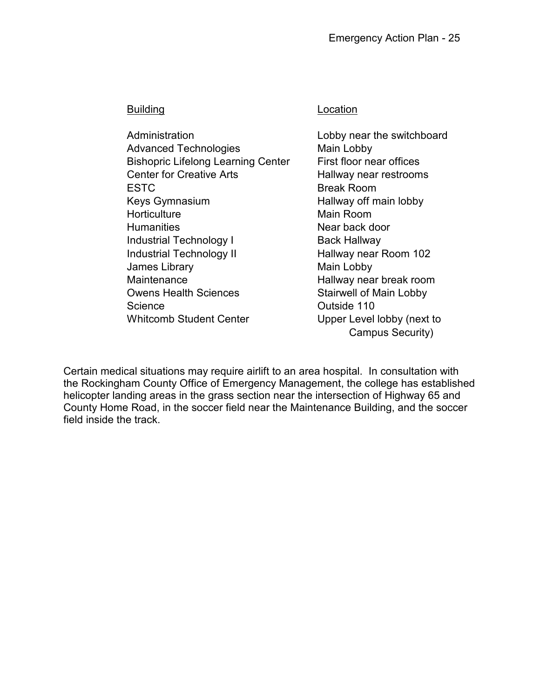Administration **Lobby near the switchboard** Advanced Technologies Main Lobby Bishopric Lifelong Learning Center First floor near offices Center for Creative Arts **Hallway near restrooms** ESTC Break Room Keys Gymnasium **Hallway off main lobby** Horticulture **Main Room** Humanities **Near back door** Industrial Technology I Back Hallway Industrial Technology II Hallway near Room 102 James Library **Main Lobby** Maintenance **Hallway near break room** Owens Health Sciences Stairwell of Main Lobby Science **Outside 110** Whitcomb Student Center **Upper Level lobby (next to** 

### Building **Location**

Campus Security)

Certain medical situations may require airlift to an area hospital. In consultation with the Rockingham County Office of Emergency Management, the college has established helicopter landing areas in the grass section near the intersection of Highway 65 and County Home Road, in the soccer field near the Maintenance Building, and the soccer field inside the track.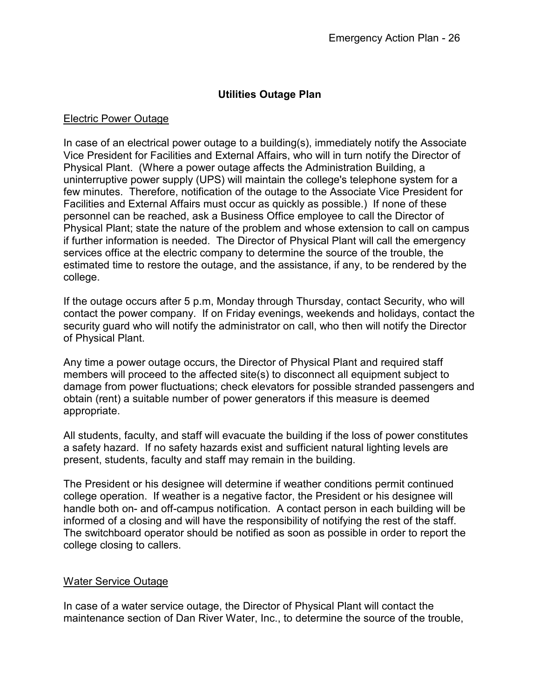### **Utilities Outage Plan**

### Electric Power Outage

In case of an electrical power outage to a building(s), immediately notify the Associate Vice President for Facilities and External Affairs, who will in turn notify the Director of Physical Plant. (Where a power outage affects the Administration Building, a uninterruptive power supply (UPS) will maintain the college's telephone system for a few minutes. Therefore, notification of the outage to the Associate Vice President for Facilities and External Affairs must occur as quickly as possible.) If none of these personnel can be reached, ask a Business Office employee to call the Director of Physical Plant; state the nature of the problem and whose extension to call on campus if further information is needed. The Director of Physical Plant will call the emergency services office at the electric company to determine the source of the trouble, the estimated time to restore the outage, and the assistance, if any, to be rendered by the college.

If the outage occurs after 5 p.m, Monday through Thursday, contact Security, who will contact the power company. If on Friday evenings, weekends and holidays, contact the security guard who will notify the administrator on call, who then will notify the Director of Physical Plant.

Any time a power outage occurs, the Director of Physical Plant and required staff members will proceed to the affected site(s) to disconnect all equipment subject to damage from power fluctuations; check elevators for possible stranded passengers and obtain (rent) a suitable number of power generators if this measure is deemed appropriate.

All students, faculty, and staff will evacuate the building if the loss of power constitutes a safety hazard. If no safety hazards exist and sufficient natural lighting levels are present, students, faculty and staff may remain in the building.

The President or his designee will determine if weather conditions permit continued college operation. If weather is a negative factor, the President or his designee will handle both on- and off-campus notification. A contact person in each building will be informed of a closing and will have the responsibility of notifying the rest of the staff. The switchboard operator should be notified as soon as possible in order to report the college closing to callers.

### Water Service Outage

In case of a water service outage, the Director of Physical Plant will contact the maintenance section of Dan River Water, Inc., to determine the source of the trouble,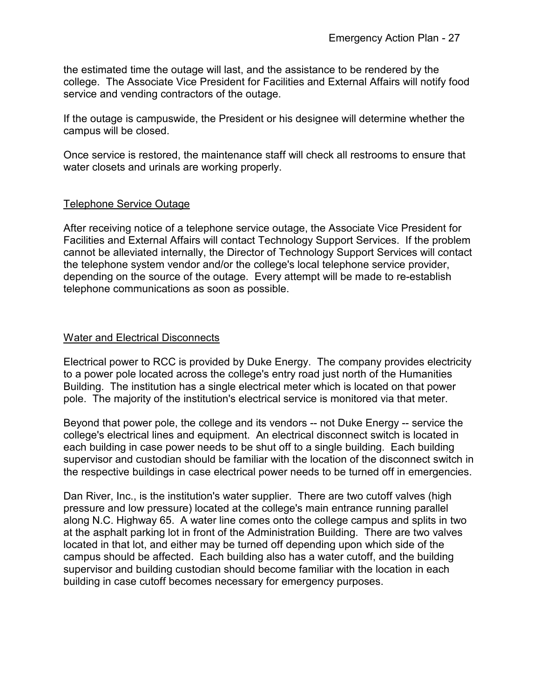the estimated time the outage will last, and the assistance to be rendered by the college. The Associate Vice President for Facilities and External Affairs will notify food service and vending contractors of the outage.

If the outage is campuswide, the President or his designee will determine whether the campus will be closed.

Once service is restored, the maintenance staff will check all restrooms to ensure that water closets and urinals are working properly.

### Telephone Service Outage

After receiving notice of a telephone service outage, the Associate Vice President for Facilities and External Affairs will contact Technology Support Services. If the problem cannot be alleviated internally, the Director of Technology Support Services will contact the telephone system vendor and/or the college's local telephone service provider, depending on the source of the outage. Every attempt will be made to re-establish telephone communications as soon as possible.

### Water and Electrical Disconnects

Electrical power to RCC is provided by Duke Energy. The company provides electricity to a power pole located across the college's entry road just north of the Humanities Building. The institution has a single electrical meter which is located on that power pole. The majority of the institution's electrical service is monitored via that meter.

Beyond that power pole, the college and its vendors -- not Duke Energy -- service the college's electrical lines and equipment. An electrical disconnect switch is located in each building in case power needs to be shut off to a single building. Each building supervisor and custodian should be familiar with the location of the disconnect switch in the respective buildings in case electrical power needs to be turned off in emergencies.

Dan River, Inc., is the institution's water supplier. There are two cutoff valves (high pressure and low pressure) located at the college's main entrance running parallel along N.C. Highway 65. A water line comes onto the college campus and splits in two at the asphalt parking lot in front of the Administration Building. There are two valves located in that lot, and either may be turned off depending upon which side of the campus should be affected. Each building also has a water cutoff, and the building supervisor and building custodian should become familiar with the location in each building in case cutoff becomes necessary for emergency purposes.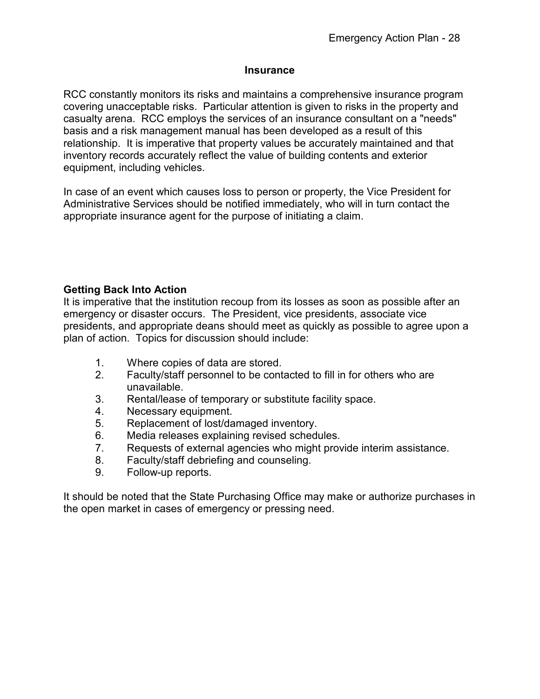### **Insurance**

RCC constantly monitors its risks and maintains a comprehensive insurance program covering unacceptable risks. Particular attention is given to risks in the property and casualty arena. RCC employs the services of an insurance consultant on a "needs" basis and a risk management manual has been developed as a result of this relationship. It is imperative that property values be accurately maintained and that inventory records accurately reflect the value of building contents and exterior equipment, including vehicles.

In case of an event which causes loss to person or property, the Vice President for Administrative Services should be notified immediately, who will in turn contact the appropriate insurance agent for the purpose of initiating a claim.

### **Getting Back Into Action**

It is imperative that the institution recoup from its losses as soon as possible after an emergency or disaster occurs. The President, vice presidents, associate vice presidents, and appropriate deans should meet as quickly as possible to agree upon a plan of action. Topics for discussion should include:

- 1. Where copies of data are stored.
- 2. Faculty/staff personnel to be contacted to fill in for others who are unavailable.
- 3. Rental/lease of temporary or substitute facility space.
- 4. Necessary equipment.
- 5. Replacement of lost/damaged inventory.
- 6. Media releases explaining revised schedules.
- 7. Requests of external agencies who might provide interim assistance.
- 8. Faculty/staff debriefing and counseling.
- 9. Follow-up reports.

It should be noted that the State Purchasing Office may make or authorize purchases in the open market in cases of emergency or pressing need.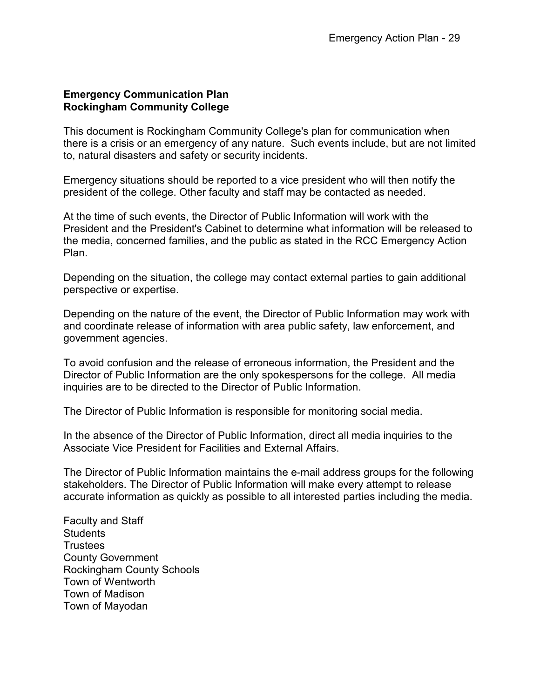### **Emergency Communication Plan Rockingham Community College**

This document is Rockingham Community College's plan for communication when there is a crisis or an emergency of any nature. Such events include, but are not limited to, natural disasters and safety or security incidents.

Emergency situations should be reported to a vice president who will then notify the president of the college. Other faculty and staff may be contacted as needed.

At the time of such events, the Director of Public Information will work with the President and the President's Cabinet to determine what information will be released to the media, concerned families, and the public as stated in the RCC Emergency Action Plan.

Depending on the situation, the college may contact external parties to gain additional perspective or expertise.

Depending on the nature of the event, the Director of Public Information may work with and coordinate release of information with area public safety, law enforcement, and government agencies.

To avoid confusion and the release of erroneous information, the President and the Director of Public Information are the only spokespersons for the college. All media inquiries are to be directed to the Director of Public Information.

The Director of Public Information is responsible for monitoring social media.

In the absence of the Director of Public Information, direct all media inquiries to the Associate Vice President for Facilities and External Affairs.

The Director of Public Information maintains the e-mail address groups for the following stakeholders. The Director of Public Information will make every attempt to release accurate information as quickly as possible to all interested parties including the media.

Faculty and Staff **Students Trustees** County Government Rockingham County Schools Town of Wentworth Town of Madison Town of Mayodan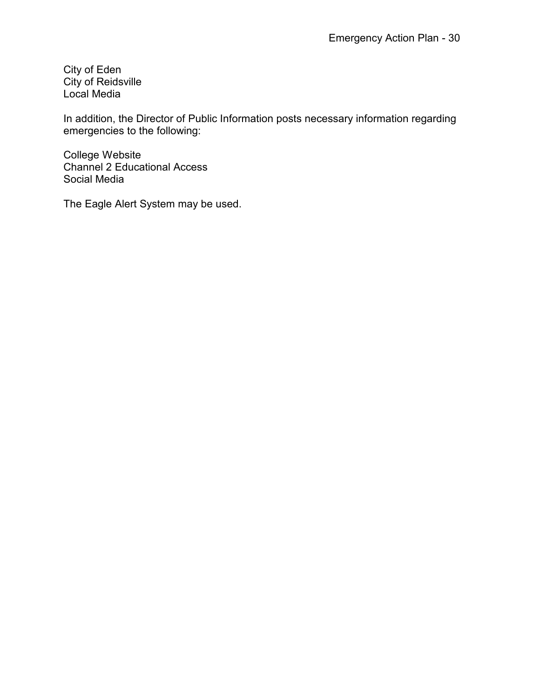City of Eden City of Reidsville Local Media

In addition, the Director of Public Information posts necessary information regarding emergencies to the following:

College Website Channel 2 Educational Access Social Media

The Eagle Alert System may be used.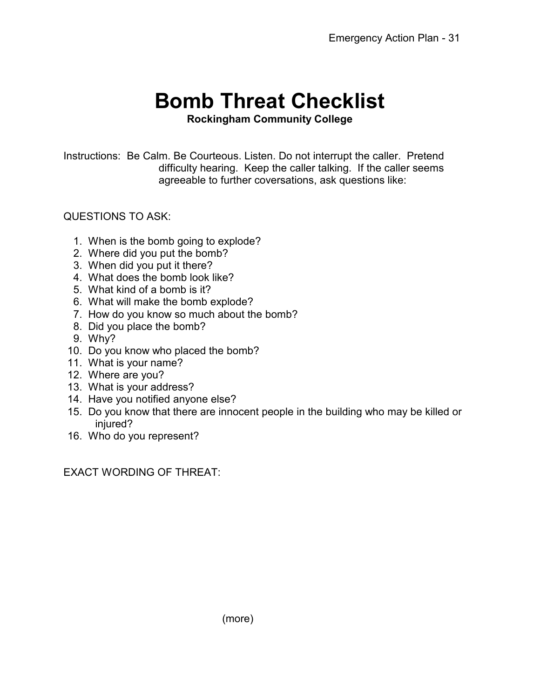# **Bomb Threat Checklist**

### **Rockingham Community College**

Instructions: Be Calm. Be Courteous. Listen. Do not interrupt the caller. Pretend difficulty hearing. Keep the caller talking. If the caller seems agreeable to further coversations, ask questions like:

### QUESTIONS TO ASK:

- 1. When is the bomb going to explode?
- 2. Where did you put the bomb?
- 3. When did you put it there?
- 4. What does the bomb look like?
- 5. What kind of a bomb is it?
- 6. What will make the bomb explode?
- 7. How do you know so much about the bomb?
- 8. Did you place the bomb?
- 9. Why?
- 10. Do you know who placed the bomb?
- 11. What is your name?
- 12. Where are you?
- 13. What is your address?
- 14. Have you notified anyone else?
- 15. Do you know that there are innocent people in the building who may be killed or injured?
- 16. Who do you represent?

EXACT WORDING OF THREAT: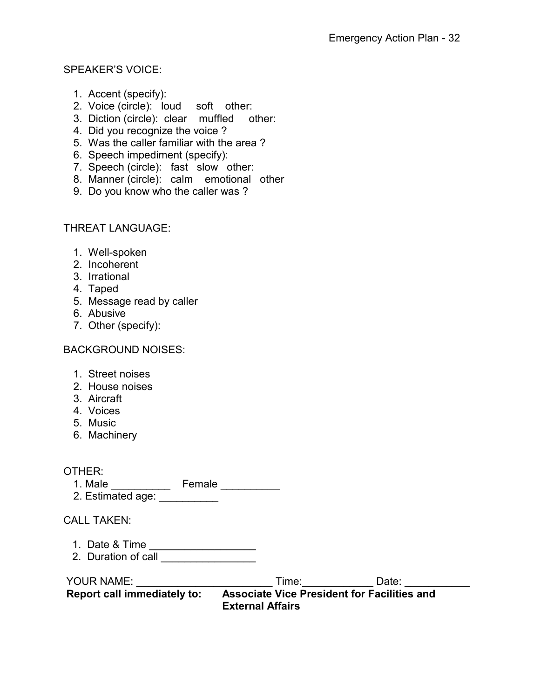### SPEAKER'S VOICE:

- 1. Accent (specify):
- 2. Voice (circle): loud soft other:
- 3. Diction (circle): clear muffled other:
- 4. Did you recognize the voice ?
- 5. Was the caller familiar with the area ?
- 6. Speech impediment (specify):
- 7. Speech (circle): fast slow other:
- 8. Manner (circle): calm emotional other
- 9. Do you know who the caller was ?

### THREAT LANGUAGE:

- 1. Well-spoken
- 2. Incoherent
- 3. Irrational
- 4. Taped
- 5. Message read by caller
- 6. Abusive
- 7. Other (specify):

BACKGROUND NOISES:

- 1. Street noises
- 2. House noises
- 3. Aircraft
- 4. Voices
- 5. Music
- 6. Machinery

### OTHER:

1. Male \_\_\_\_\_\_\_\_\_\_\_\_\_\_ Female \_\_\_\_\_\_\_\_\_\_\_ 2. Estimated age: \_\_\_\_\_\_\_\_\_\_

### CALL TAKEN:

- 1. Date & Time \_\_\_\_\_\_\_\_\_\_\_\_\_\_\_\_\_\_\_\_
- 2. Duration of call \_\_\_\_\_\_\_\_\_\_\_\_\_\_\_\_\_

| <b>YOUR NAME:</b>                  | Time <sup>.</sup>                                  | Date: |
|------------------------------------|----------------------------------------------------|-------|
| <b>Report call immediately to:</b> | <b>Associate Vice President for Facilities and</b> |       |
|                                    | <b>External Affairs</b>                            |       |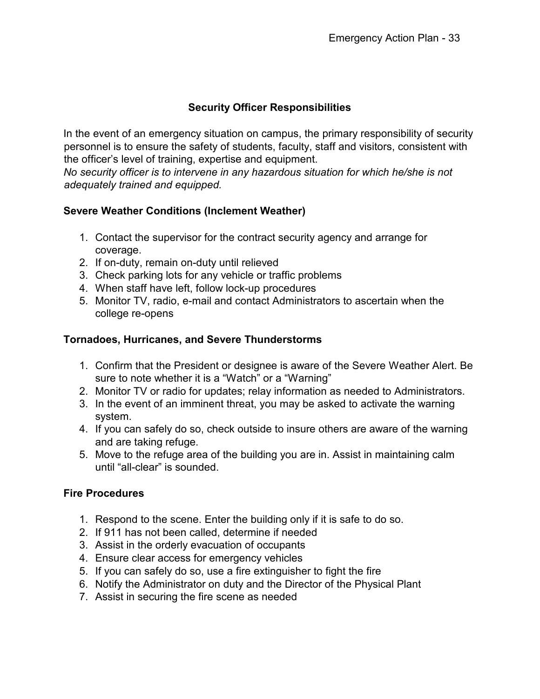### **Security Officer Responsibilities**

In the event of an emergency situation on campus, the primary responsibility of security personnel is to ensure the safety of students, faculty, staff and visitors, consistent with the officer's level of training, expertise and equipment.

*No security officer is to intervene in any hazardous situation for which he/she is not adequately trained and equipped.*

### **Severe Weather Conditions (Inclement Weather)**

- 1. Contact the supervisor for the contract security agency and arrange for coverage.
- 2. If on-duty, remain on-duty until relieved
- 3. Check parking lots for any vehicle or traffic problems
- 4. When staff have left, follow lock-up procedures
- 5. Monitor TV, radio, e-mail and contact Administrators to ascertain when the college re-opens

### **Tornadoes, Hurricanes, and Severe Thunderstorms**

- 1. Confirm that the President or designee is aware of the Severe Weather Alert. Be sure to note whether it is a "Watch" or a "Warning"
- 2. Monitor TV or radio for updates; relay information as needed to Administrators.
- 3. In the event of an imminent threat, you may be asked to activate the warning system.
- 4. If you can safely do so, check outside to insure others are aware of the warning and are taking refuge.
- 5. Move to the refuge area of the building you are in. Assist in maintaining calm until "all-clear" is sounded.

### **Fire Procedures**

- 1. Respond to the scene. Enter the building only if it is safe to do so.
- 2. If 911 has not been called, determine if needed
- 3. Assist in the orderly evacuation of occupants
- 4. Ensure clear access for emergency vehicles
- 5. If you can safely do so, use a fire extinguisher to fight the fire
- 6. Notify the Administrator on duty and the Director of the Physical Plant
- 7. Assist in securing the fire scene as needed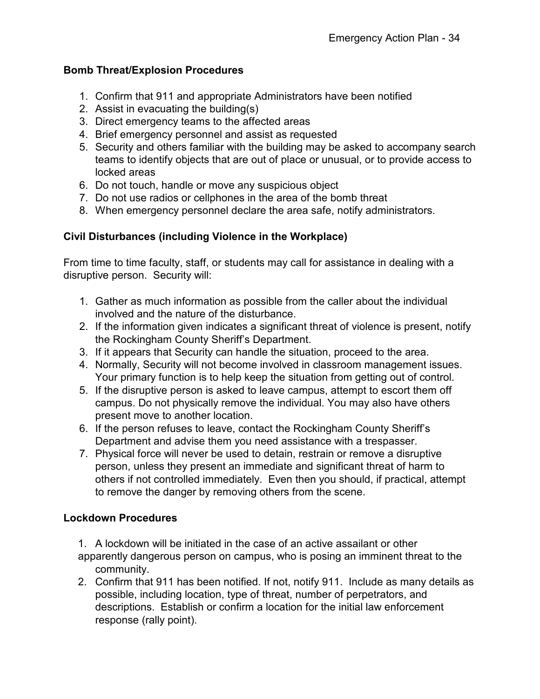### **Bomb Threat/Explosion Procedures**

- 1. Confirm that 911 and appropriate Administrators have been notified
- 2. Assist in evacuating the building(s)
- 3. Direct emergency teams to the affected areas
- 4. Brief emergency personnel and assist as requested
- 5. Security and others familiar with the building may be asked to accompany search teams to identify objects that are out of place or unusual, or to provide access to locked areas
- 6. Do not touch, handle or move any suspicious object
- 7. Do not use radios or cellphones in the area of the bomb threat
- 8. When emergency personnel declare the area safe, notify administrators.

### **Civil Disturbances (including Violence in the Workplace)**

From time to time faculty, staff, or students may call for assistance in dealing with a disruptive person. Security will:

- 1. Gather as much information as possible from the caller about the individual involved and the nature of the disturbance.
- 2. If the information given indicates a significant threat of violence is present, notify the Rockingham County Sheriff's Department.
- 3. If it appears that Security can handle the situation, proceed to the area.
- 4. Normally, Security will not become involved in classroom management issues. Your primary function is to help keep the situation from getting out of control.
- 5. If the disruptive person is asked to leave campus, attempt to escort them off campus. Do not physically remove the individual. You may also have others present move to another location.
- 6. If the person refuses to leave, contact the Rockingham County Sheriff's Department and advise them you need assistance with a trespasser.
- 7. Physical force will never be used to detain, restrain or remove a disruptive person, unless they present an immediate and significant threat of harm to others if not controlled immediately. Even then you should, if practical, attempt to remove the danger by removing others from the scene.

### **Lockdown Procedures**

- 1. A lockdown will be initiated in the case of an active assailant or other
- apparently dangerous person on campus, who is posing an imminent threat to the community.
- 2. Confirm that 911 has been notified. If not, notify 911. Include as many details as possible, including location, type of threat, number of perpetrators, and descriptions. Establish or confirm a location for the initial law enforcement response (rally point).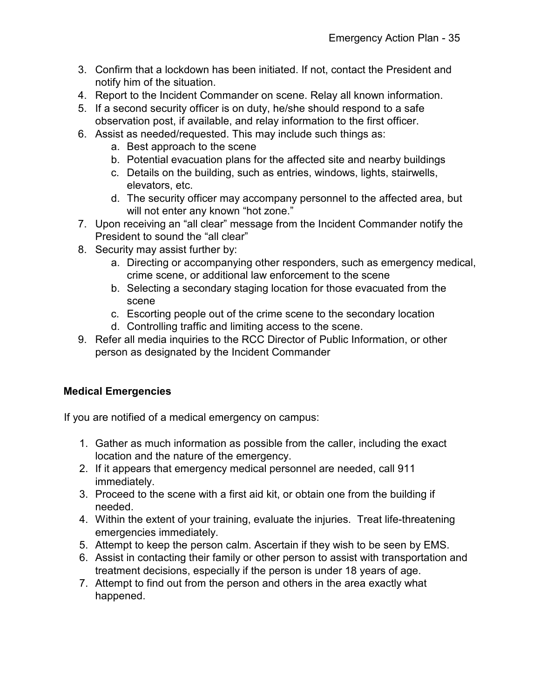- 3. Confirm that a lockdown has been initiated. If not, contact the President and notify him of the situation.
- 4. Report to the Incident Commander on scene. Relay all known information.
- 5. If a second security officer is on duty, he/she should respond to a safe observation post, if available, and relay information to the first officer.
- 6. Assist as needed/requested. This may include such things as:
	- a. Best approach to the scene
	- b. Potential evacuation plans for the affected site and nearby buildings
	- c. Details on the building, such as entries, windows, lights, stairwells, elevators, etc.
	- d. The security officer may accompany personnel to the affected area, but will not enter any known "hot zone."
- 7. Upon receiving an "all clear" message from the Incident Commander notify the President to sound the "all clear"
- 8. Security may assist further by:
	- a. Directing or accompanying other responders, such as emergency medical, crime scene, or additional law enforcement to the scene
	- b. Selecting a secondary staging location for those evacuated from the scene
	- c. Escorting people out of the crime scene to the secondary location
	- d. Controlling traffic and limiting access to the scene.
- 9. Refer all media inquiries to the RCC Director of Public Information, or other person as designated by the Incident Commander

### **Medical Emergencies**

If you are notified of a medical emergency on campus:

- 1. Gather as much information as possible from the caller, including the exact location and the nature of the emergency.
- 2. If it appears that emergency medical personnel are needed, call 911 immediately.
- 3. Proceed to the scene with a first aid kit, or obtain one from the building if needed.
- 4. Within the extent of your training, evaluate the injuries. Treat life-threatening emergencies immediately.
- 5. Attempt to keep the person calm. Ascertain if they wish to be seen by EMS.
- 6. Assist in contacting their family or other person to assist with transportation and treatment decisions, especially if the person is under 18 years of age.
- 7. Attempt to find out from the person and others in the area exactly what happened.